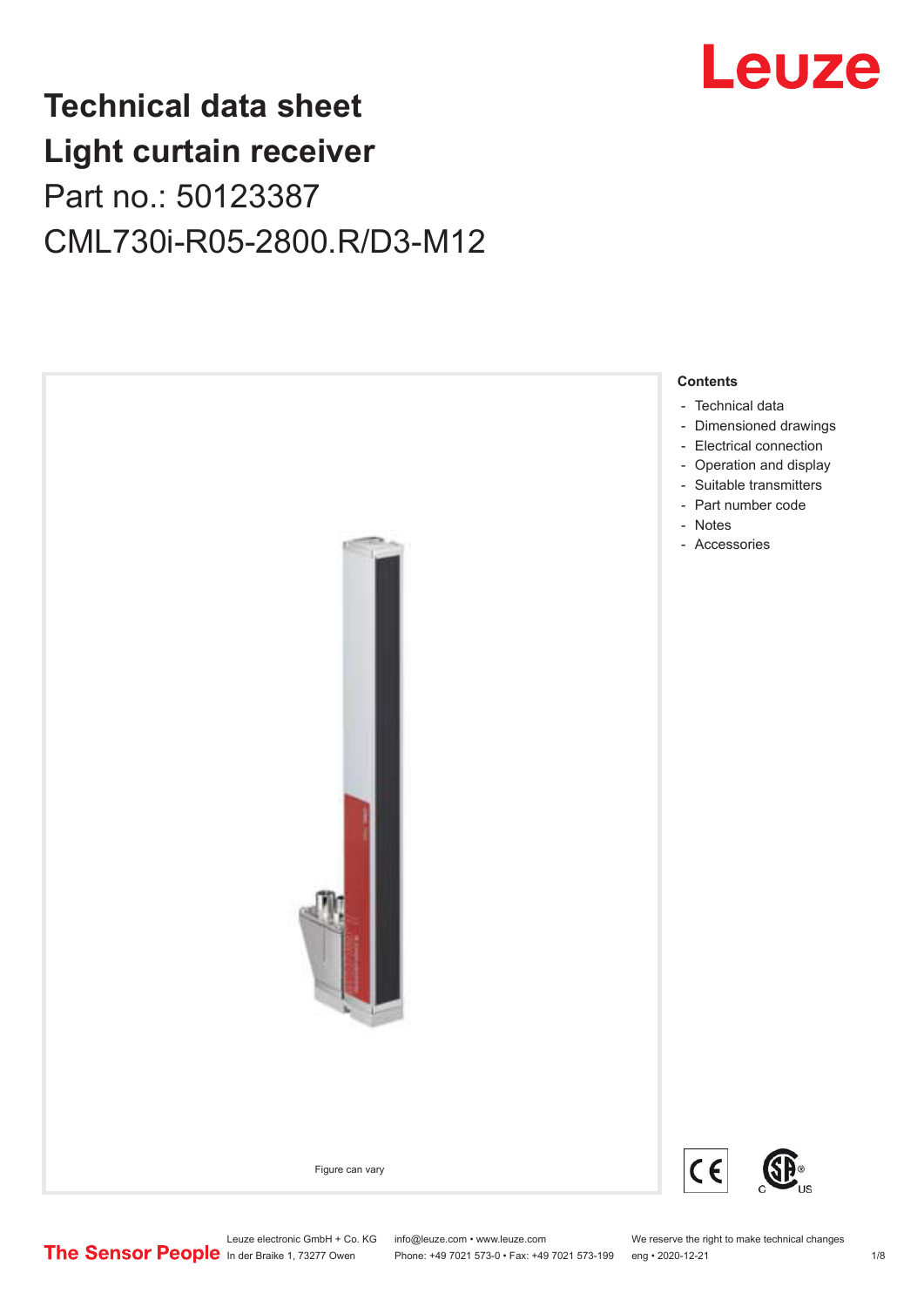

## **Technical data sheet Light curtain receiver** Part no.: 50123387 CML730i-R05-2800.R/D3-M12



Leuze electronic GmbH + Co. KG info@leuze.com • www.leuze.com We reserve the right to make technical changes<br>
The Sensor People in der Braike 1, 73277 Owen Phone: +49 7021 573-0 • Fax: +49 7021 573-199 eng • 2020-12-21

Phone: +49 7021 573-0 • Fax: +49 7021 573-199 eng • 2020-12-21 1 2020-12-21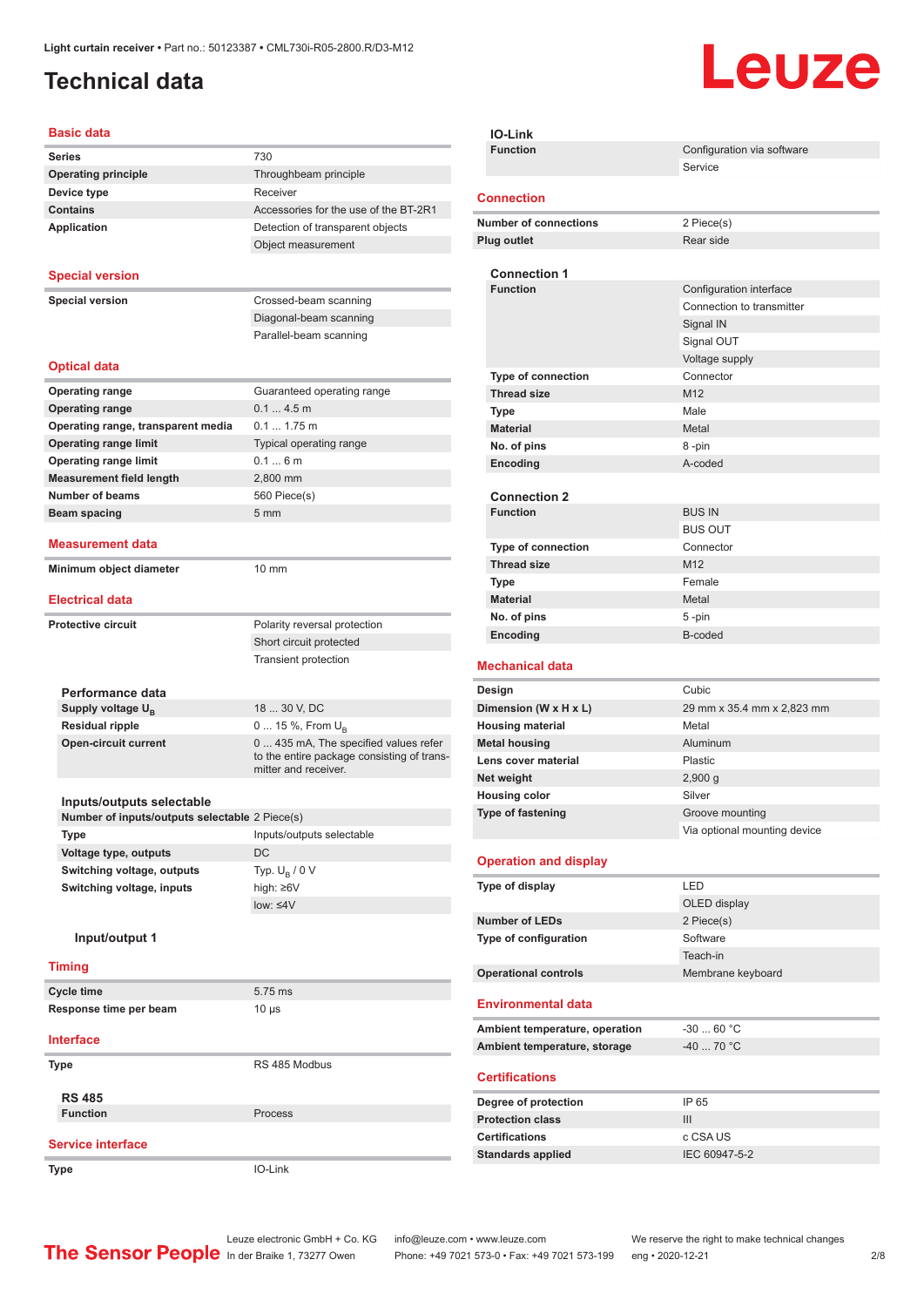### <span id="page-1-0"></span>**Technical data**

# Leuze

#### **Basic data**

| Dasiy uata                                                                  |                                                 |
|-----------------------------------------------------------------------------|-------------------------------------------------|
| <b>Series</b>                                                               | 730                                             |
| <b>Operating principle</b>                                                  | Throughbeam principle                           |
| Device type                                                                 | Receiver                                        |
| <b>Contains</b>                                                             | Accessories for the use of the BT-2R1           |
| <b>Application</b>                                                          | Detection of transparent objects                |
|                                                                             | Object measurement                              |
| <b>Special version</b>                                                      |                                                 |
|                                                                             |                                                 |
| <b>Special version</b>                                                      | Crossed-beam scanning<br>Diagonal-beam scanning |
|                                                                             | Parallel-beam scanning                          |
|                                                                             |                                                 |
| <b>Optical data</b>                                                         |                                                 |
| <b>Operating range</b>                                                      | Guaranteed operating range                      |
| <b>Operating range</b>                                                      | 0.14.5m                                         |
| Operating range, transparent media                                          | $0.1 1.75$ m                                    |
| <b>Operating range limit</b>                                                | Typical operating range                         |
| <b>Operating range limit</b>                                                | 0.16m                                           |
| <b>Measurement field length</b>                                             | 2,800 mm                                        |
| <b>Number of beams</b>                                                      | 560 Piece(s)                                    |
| <b>Beam spacing</b>                                                         | 5 <sub>mm</sub>                                 |
| <b>Measurement data</b>                                                     |                                                 |
| Minimum object diameter                                                     | 10 mm                                           |
| <b>Electrical data</b>                                                      |                                                 |
|                                                                             |                                                 |
| <b>Protective circuit</b>                                                   | Polarity reversal protection                    |
|                                                                             | Short circuit protected                         |
|                                                                             | Transient protection                            |
| Performance data                                                            |                                                 |
| Supply voltage $U_{B}$                                                      | 18  30 V, DC                                    |
| <b>Residual ripple</b>                                                      | 0  15 %, From $U_{\rm B}$                       |
| <b>Open-circuit current</b>                                                 | 0 435 mA, The specified values refer            |
|                                                                             | to the entire package consisting of trans-      |
|                                                                             | mitter and receiver.                            |
|                                                                             |                                                 |
| Inputs/outputs selectable<br>Number of inputs/outputs selectable 2 Piece(s) |                                                 |
| Type                                                                        | Inputs/outputs selectable                       |
| Voltage type, outputs                                                       | DC                                              |
| Switching voltage, outputs                                                  | Typ. $U_B / 0 V$                                |
| Switching voltage, inputs                                                   | high: ≥6V                                       |
|                                                                             | low: $\leq 4V$                                  |
| Input/output 1                                                              |                                                 |
|                                                                             |                                                 |
| <b>Timing</b>                                                               |                                                 |
| <b>Cycle time</b>                                                           | 5.75 ms                                         |
| Response time per beam                                                      | $10 \mu s$                                      |
| <b>Interface</b>                                                            |                                                 |
| Type                                                                        | RS 485 Modbus                                   |
|                                                                             |                                                 |
| <b>RS 485</b><br><b>Function</b>                                            |                                                 |
|                                                                             | Process                                         |
| <b>Service interface</b>                                                    |                                                 |
| Type                                                                        | IO-Link                                         |
|                                                                             |                                                 |

| <b>IO-Link</b>                                    |                                                 |
|---------------------------------------------------|-------------------------------------------------|
| <b>Function</b>                                   | Configuration via software                      |
|                                                   | Service                                         |
| <b>Connection</b>                                 |                                                 |
|                                                   |                                                 |
| <b>Number of connections</b>                      | 2 Piece(s)                                      |
| <b>Plug outlet</b>                                | Rear side                                       |
| <b>Connection 1</b>                               |                                                 |
| <b>Function</b>                                   | Configuration interface                         |
|                                                   | Connection to transmitter                       |
|                                                   | Signal IN                                       |
|                                                   | Signal OUT                                      |
|                                                   | Voltage supply                                  |
| Type of connection                                | Connector                                       |
| <b>Thread size</b>                                | M12                                             |
| <b>Type</b>                                       | Male                                            |
| <b>Material</b>                                   | Metal                                           |
| No. of pins                                       | 8-pin                                           |
| Encoding                                          | A-coded                                         |
|                                                   |                                                 |
| <b>Connection 2</b><br><b>Function</b>            | <b>BUS IN</b>                                   |
|                                                   | <b>BUS OUT</b>                                  |
| <b>Type of connection</b>                         | Connector                                       |
| <b>Thread size</b>                                | M <sub>12</sub>                                 |
| Type                                              | Female                                          |
| <b>Material</b>                                   | Metal                                           |
| No. of pins                                       | 5-pin                                           |
|                                                   |                                                 |
| Encoding                                          | B-coded                                         |
|                                                   |                                                 |
| <b>Mechanical data</b>                            |                                                 |
| Design                                            | Cubic                                           |
| Dimension (W x H x L)                             | 29 mm x 35.4 mm x 2,823 mm                      |
| <b>Housing material</b>                           | Metal                                           |
| <b>Metal housing</b>                              | Aluminum                                        |
| Lens cover material                               | Plastic                                         |
| Net weight                                        | 2,900 g                                         |
| <b>Housing color</b>                              | Silver                                          |
| Type of fastening                                 | Groove mounting<br>Via optional mounting device |
|                                                   |                                                 |
| <b>Operation and display</b>                      |                                                 |
| Type of display                                   | LED                                             |
|                                                   | OLED display                                    |
| <b>Number of LEDs</b>                             | 2 Piece(s)                                      |
| Type of configuration                             | Software                                        |
|                                                   | Teach-in                                        |
| <b>Operational controls</b>                       | Membrane keyboard                               |
| <b>Environmental data</b>                         |                                                 |
| Ambient temperature, operation                    | $-3060 °C$                                      |
| Ambient temperature, storage                      | $-4070 °C$                                      |
|                                                   |                                                 |
| <b>Certifications</b>                             |                                                 |
| Degree of protection                              | IP 65                                           |
| <b>Protection class</b>                           | III                                             |
| <b>Certifications</b><br><b>Standards applied</b> | c CSA US<br>IEC 60947-5-2                       |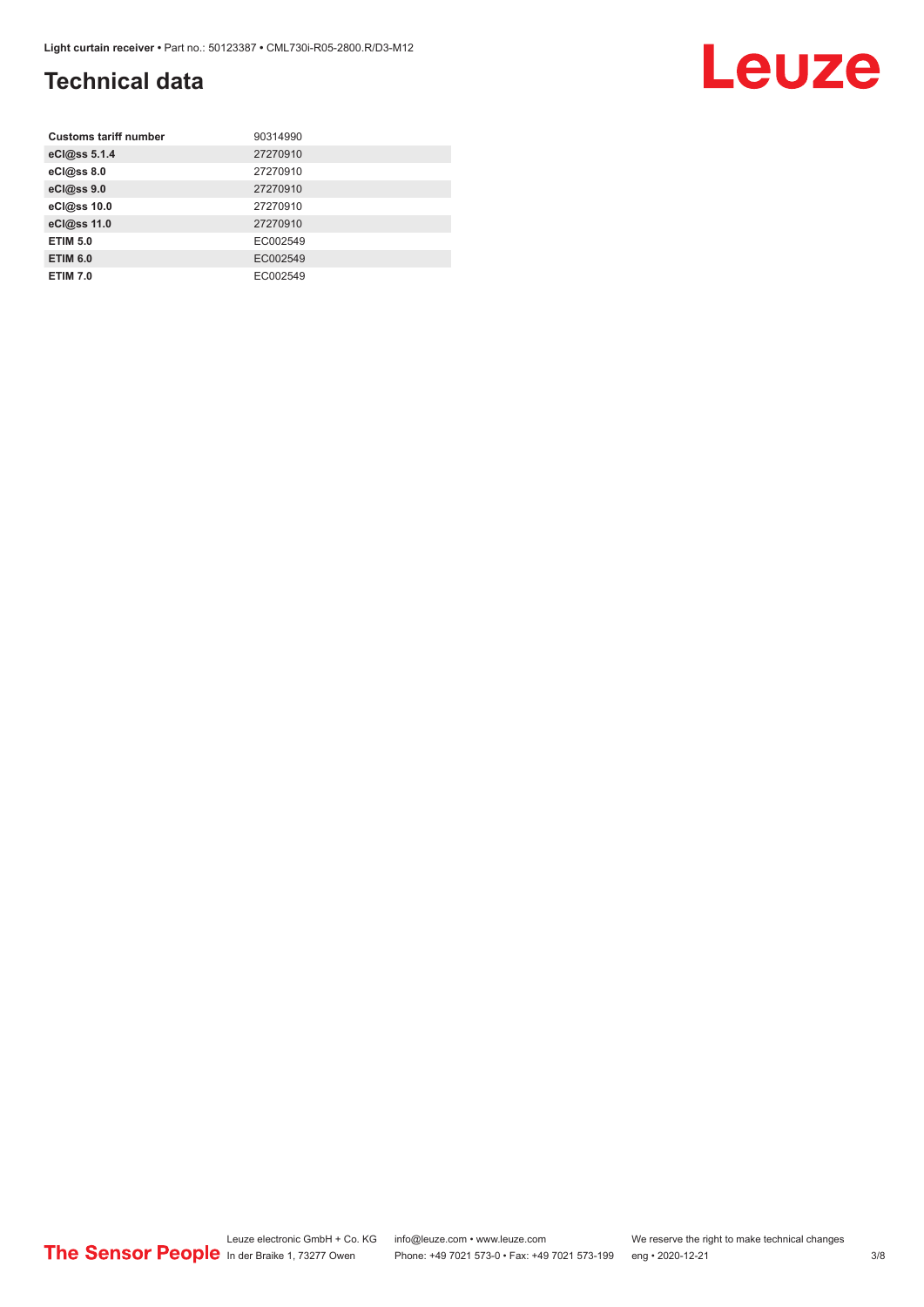### **Technical data**

| <b>Customs tariff number</b> | 90314990 |
|------------------------------|----------|
| eCl@ss 5.1.4                 | 27270910 |
| eCl@ss 8.0                   | 27270910 |
| eCl@ss 9.0                   | 27270910 |
| eCl@ss 10.0                  | 27270910 |
| eCl@ss 11.0                  | 27270910 |
| <b>ETIM 5.0</b>              | EC002549 |
| <b>ETIM 6.0</b>              | EC002549 |
| <b>ETIM 7.0</b>              | EC002549 |

#### Leuze electronic GmbH + Co. KG info@leuze.com • www.leuze.com We reserve the right to make technical changes ln der Braike 1, 73277 Owen Phone: +49 7021 573-0 • Fax: +49 7021 573-199 eng • 2020-12-21 3/8

Leuze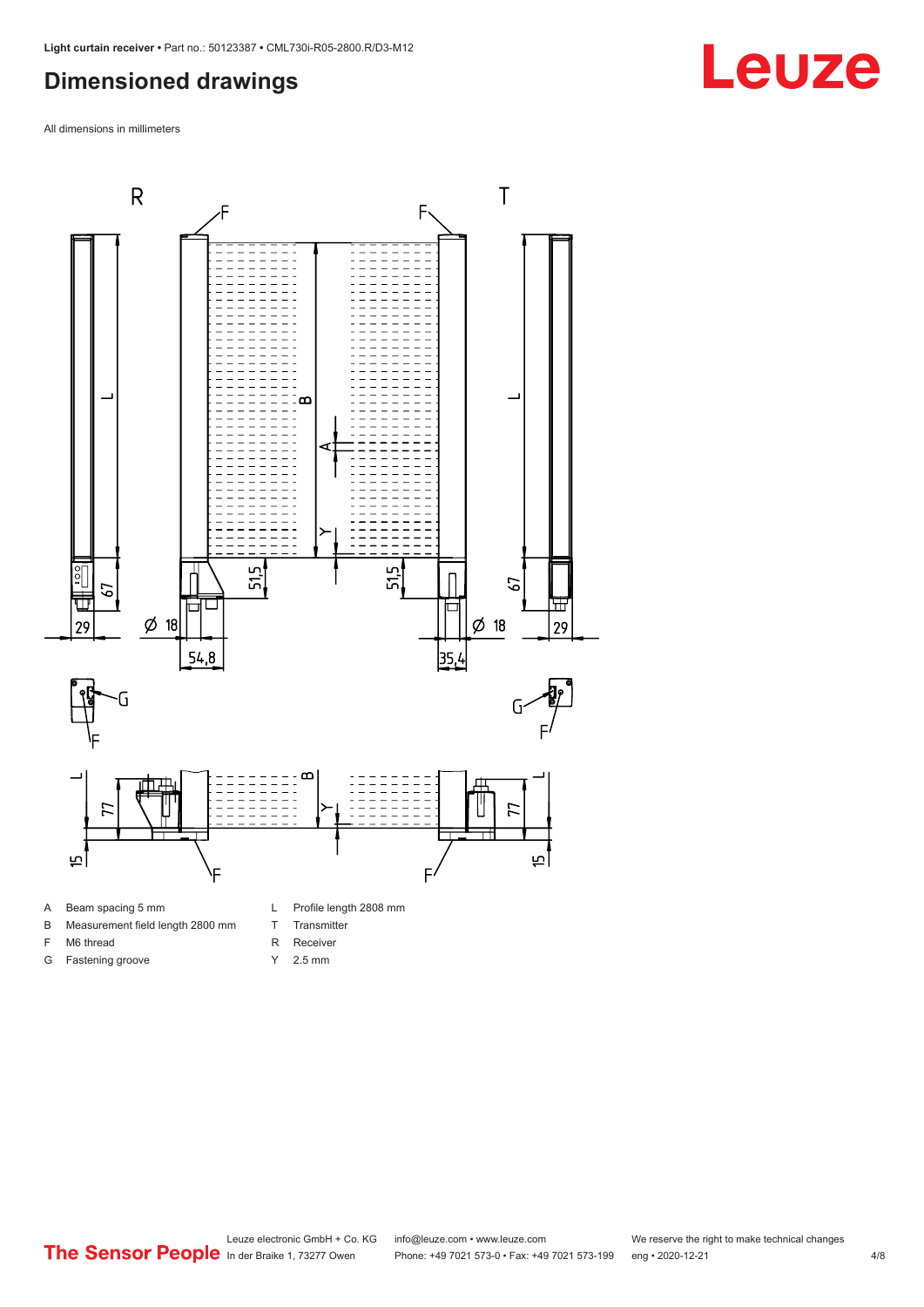#### <span id="page-3-0"></span>**Dimensioned drawings**

All dimensions in millimeters



A Beam spacing 5 mm

G Fastening groove

- B Measurement field length 2800 mm
- F M6 thread
- R Receiver
	- Y 2.5 mm

T Transmitter

**Leuze**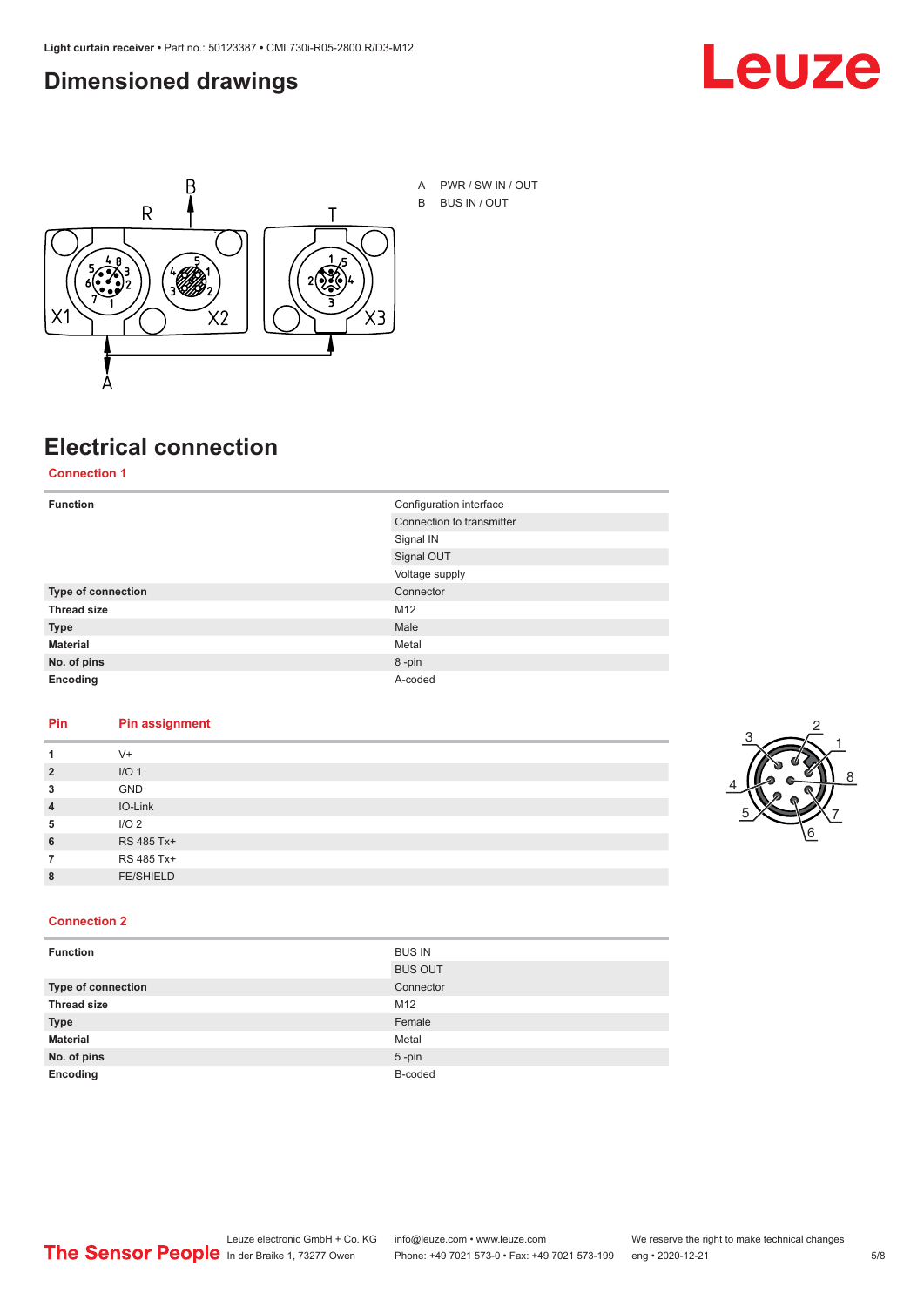#### <span id="page-4-0"></span>**Dimensioned drawings**





### **Electrical connection**

**Connection 1**

| <b>Function</b>           | Configuration interface   |
|---------------------------|---------------------------|
|                           | Connection to transmitter |
|                           | Signal IN                 |
|                           | Signal OUT                |
|                           | Voltage supply            |
| <b>Type of connection</b> | Connector                 |
| <b>Thread size</b>        | M12                       |
| <b>Type</b>               | Male                      |
| <b>Material</b>           | Metal                     |
| No. of pins               | 8-pin                     |
| Encoding                  | A-coded                   |

#### **Pin Pin assignment**

|                | $V +$            |  |  |
|----------------|------------------|--|--|
| $\overline{2}$ | I/O <sub>1</sub> |  |  |
| 3              | <b>GND</b>       |  |  |
| $\overline{4}$ | IO-Link          |  |  |
| 5              | I/O <sub>2</sub> |  |  |
| 6              | RS 485 Tx+       |  |  |
|                | RS 485 Tx+       |  |  |
| 8              | <b>FE/SHIELD</b> |  |  |
|                |                  |  |  |



#### **Connection 2**

| <b>Function</b>    | <b>BUS IN</b>  |
|--------------------|----------------|
|                    | <b>BUS OUT</b> |
| Type of connection | Connector      |
| <b>Thread size</b> | M12            |
| <b>Type</b>        | Female         |
| <b>Material</b>    | Metal          |
| No. of pins        | $5$ -pin       |
| Encoding           | B-coded        |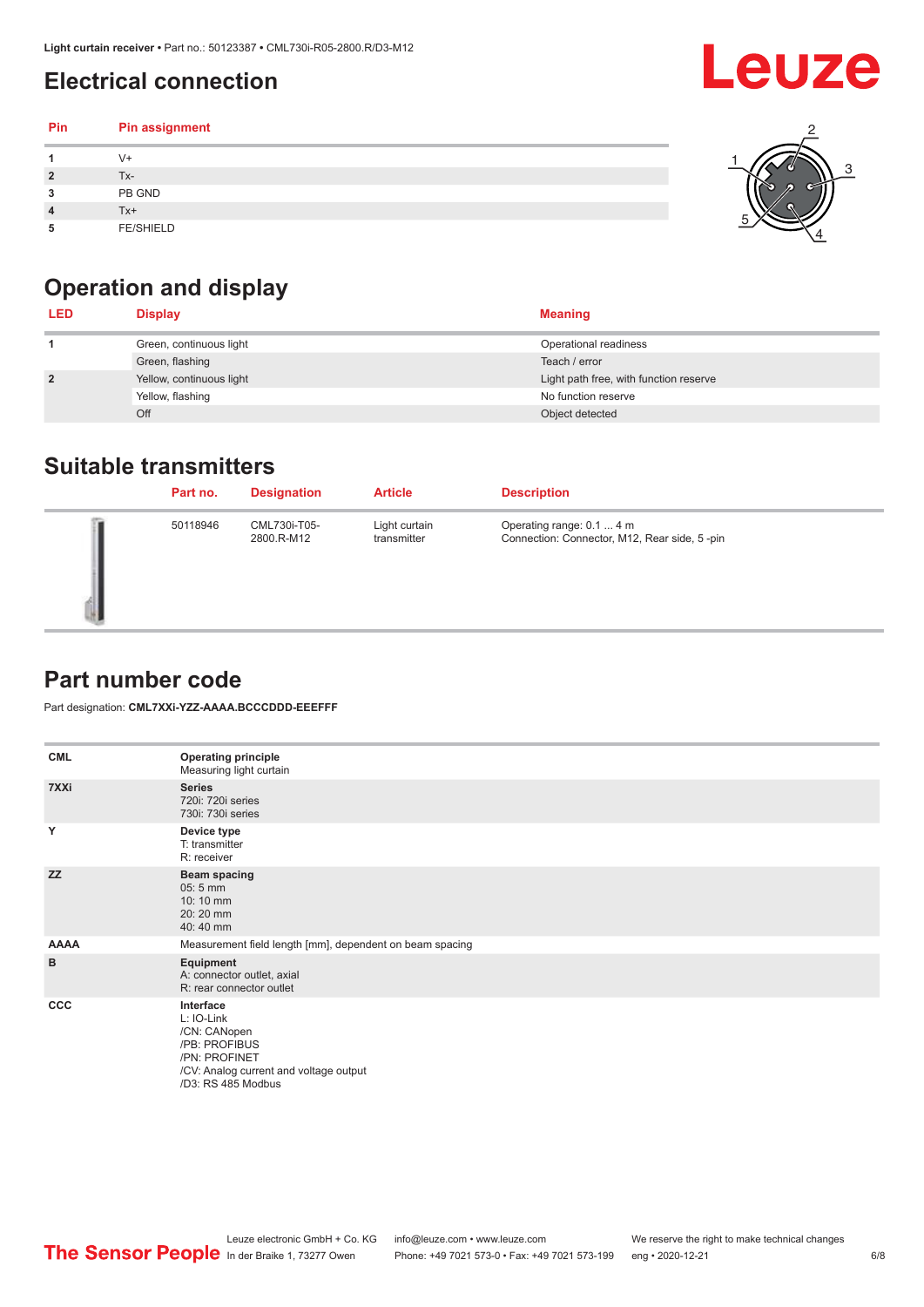### <span id="page-5-0"></span>**Electrical connection**

| Pin | Pin assignment   |  |
|-----|------------------|--|
|     | V+               |  |
| ∍   | Tx-              |  |
| 3   | PB GND           |  |
|     | Tx+              |  |
| 5   | <b>FE/SHIELD</b> |  |

### **Operation and display**

| <b>LED</b>     | <b>Display</b>           | <b>Meaning</b>                         |
|----------------|--------------------------|----------------------------------------|
|                | Green, continuous light  | Operational readiness                  |
|                | Green, flashing          | Teach / error                          |
| $\overline{2}$ | Yellow, continuous light | Light path free, with function reserve |
|                | Yellow, flashing         | No function reserve                    |
|                | Off                      | Object detected                        |

#### **Suitable transmitters**

| Part no. | <b>Designation</b>         | <b>Article</b>               | <b>Description</b>                                                        |
|----------|----------------------------|------------------------------|---------------------------------------------------------------------------|
| 50118946 | CML730i-T05-<br>2800.R-M12 | Light curtain<br>transmitter | Operating range: 0.1  4 m<br>Connection: Connector, M12, Rear side, 5-pin |

#### **Part number code**

Part designation: **CML7XXi-YZZ-AAAA.BCCCDDD-EEEFFF**

| <b>CML</b>  | <b>Operating principle</b><br>Measuring light curtain                                                                                     |
|-------------|-------------------------------------------------------------------------------------------------------------------------------------------|
| 7XXi        | <b>Series</b><br>720i: 720i series<br>730i: 730i series                                                                                   |
| Y           | Device type<br>T: transmitter<br>R: receiver                                                                                              |
| <b>ZZ</b>   | <b>Beam spacing</b><br>$05:5$ mm<br>10:10 mm<br>20:20 mm<br>40:40 mm                                                                      |
| <b>AAAA</b> | Measurement field length [mm], dependent on beam spacing                                                                                  |
| B           | Equipment<br>A: connector outlet, axial<br>R: rear connector outlet                                                                       |
| <b>CCC</b>  | Interface<br>L: IO-Link<br>/CN: CANopen<br>/PB: PROFIBUS<br>/PN: PROFINET<br>/CV: Analog current and voltage output<br>/D3: RS 485 Modbus |

**Leuze**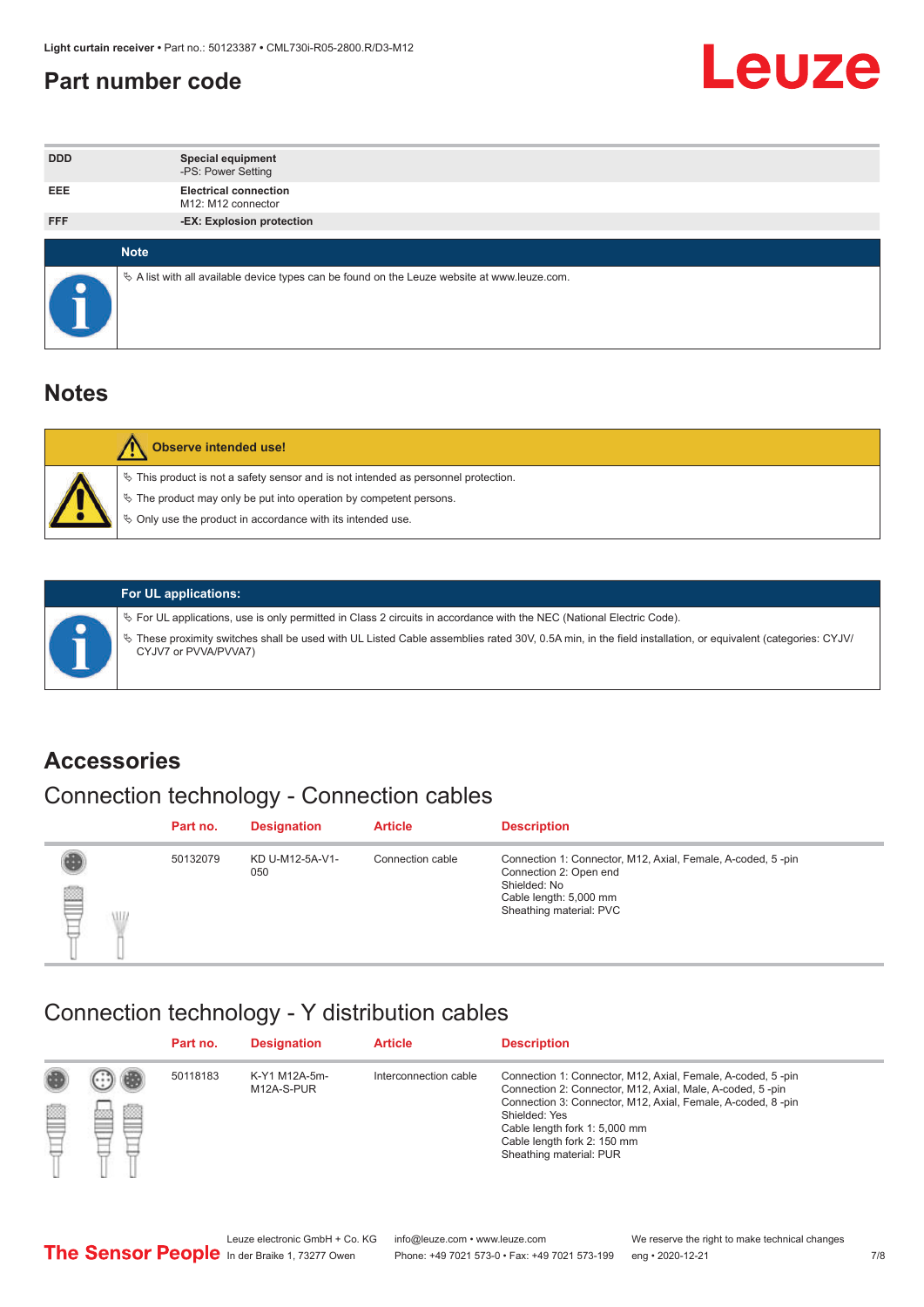#### <span id="page-6-0"></span>**Part number code**



| <b>DDD</b> | <b>Special equipment</b><br>-PS: Power Setting                                                  |
|------------|-------------------------------------------------------------------------------------------------|
| <b>EEE</b> | <b>Electrical connection</b><br>M12: M12 connector                                              |
| <b>FFF</b> | -EX: Explosion protection                                                                       |
|            |                                                                                                 |
|            | <b>Note</b>                                                                                     |
|            | $\&$ A list with all available device types can be found on the Leuze website at www.leuze.com. |

#### **Notes**

| Observe intended use!                                                                                                                                                                                                            |
|----------------------------------------------------------------------------------------------------------------------------------------------------------------------------------------------------------------------------------|
| $\%$ This product is not a safety sensor and is not intended as personnel protection.<br>$\%$ The product may only be put into operation by competent persons.<br>$\%$ Only use the product in accordance with its intended use. |
|                                                                                                                                                                                                                                  |



#### **For UL applications:**

ª For UL applications, use is only permitted in Class 2 circuits in accordance with the NEC (National Electric Code). ª These proximity switches shall be used with UL Listed Cable assemblies rated 30V, 0.5A min, in the field installation, or equivalent (categories: CYJV/ CYJV7 or PVVA/PVVA7)

#### **Accessories**

### Connection technology - Connection cables

|        | Part no. | <b>Designation</b>     | <b>Article</b>   | <b>Description</b>                                                                                                                                         |
|--------|----------|------------------------|------------------|------------------------------------------------------------------------------------------------------------------------------------------------------------|
| 2<br>W | 50132079 | KD U-M12-5A-V1-<br>050 | Connection cable | Connection 1: Connector, M12, Axial, Female, A-coded, 5-pin<br>Connection 2: Open end<br>Shielded: No<br>Cable length: 5,000 mm<br>Sheathing material: PVC |

#### Connection technology - Y distribution cables

|        |         | Part no. | <b>Designation</b>          | <b>Article</b>        | <b>Description</b>                                                                                                                                                                                                                                                                                  |
|--------|---------|----------|-----------------------------|-----------------------|-----------------------------------------------------------------------------------------------------------------------------------------------------------------------------------------------------------------------------------------------------------------------------------------------------|
| ø<br>٣ | œ<br>w. | 50118183 | K-Y1 M12A-5m-<br>M12A-S-PUR | Interconnection cable | Connection 1: Connector, M12, Axial, Female, A-coded, 5-pin<br>Connection 2: Connector, M12, Axial, Male, A-coded, 5-pin<br>Connection 3: Connector, M12, Axial, Female, A-coded, 8-pin<br>Shielded: Yes<br>Cable length fork 1: 5,000 mm<br>Cable length fork 2: 150 mm<br>Sheathing material: PUR |